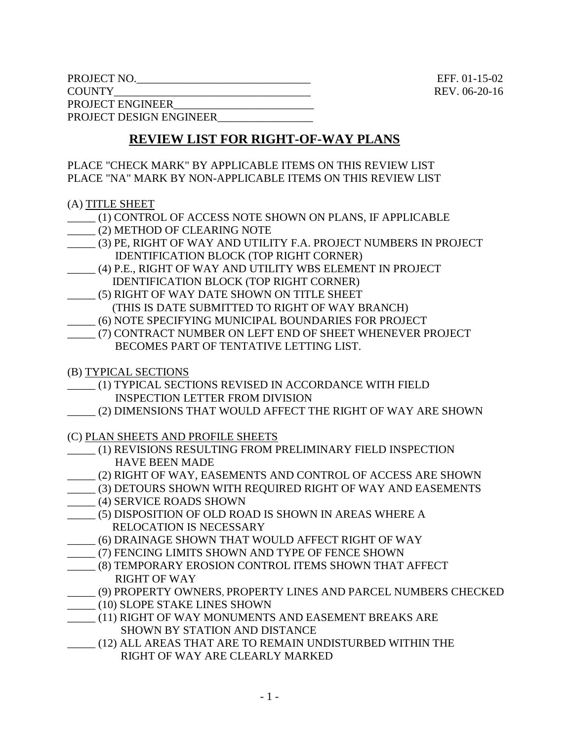PROJECT NO. **EFF.** 01-15-02 COUNTY\_\_\_\_\_\_\_\_\_\_\_\_\_\_\_\_\_\_\_\_\_\_\_\_\_\_\_\_\_\_\_\_\_\_\_ REV. 06-20-16 PROJECT ENGINEER PROJECT DESIGN ENGINEER\_\_\_\_\_\_\_\_\_\_\_\_\_\_\_\_\_

## **REVIEW LIST FOR RIGHT-OF-WAY PLANS**

PLACE "CHECK MARK" BY APPLICABLE ITEMS ON THIS REVIEW LIST PLACE "NA" MARK BY NON-APPLICABLE ITEMS ON THIS REVIEW LIST

## (A) TITLE SHEET

- \_\_\_\_\_ (1) CONTROL OF ACCESS NOTE SHOWN ON PLANS, IF APPLICABLE
- \_\_\_\_\_ (2) METHOD OF CLEARING NOTE
- \_\_\_\_\_ (3) PE, RIGHT OF WAY AND UTILITY F.A. PROJECT NUMBERS IN PROJECT IDENTIFICATION BLOCK (TOP RIGHT CORNER)
- \_\_\_\_\_ (4) P.E., RIGHT OF WAY AND UTILITY WBS ELEMENT IN PROJECT IDENTIFICATION BLOCK (TOP RIGHT CORNER)
- \_\_\_\_\_ (5) RIGHT OF WAY DATE SHOWN ON TITLE SHEET (THIS IS DATE SUBMITTED TO RIGHT OF WAY BRANCH) \_\_\_\_\_ (6) NOTE SPECIFYING MUNICIPAL BOUNDARIES FOR PROJECT
- \_\_\_\_\_ (7) CONTRACT NUMBER ON LEFT END OF SHEET WHENEVER PROJECT BECOMES PART OF TENTATIVE LETTING LIST.
- (B) TYPICAL SECTIONS
- \_\_\_\_\_ (1) TYPICAL SECTIONS REVISED IN ACCORDANCE WITH FIELD INSPECTION LETTER FROM DIVISION
- \_\_\_\_\_ (2) DIMENSIONS THAT WOULD AFFECT THE RIGHT OF WAY ARE SHOWN
- (C) PLAN SHEETS AND PROFILE SHEETS
- \_\_\_\_\_ (1) REVISIONS RESULTING FROM PRELIMINARY FIELD INSPECTION HAVE BEEN MADE
- \_\_\_\_\_ (2) RIGHT OF WAY, EASEMENTS AND CONTROL OF ACCESS ARE SHOWN
- \_\_\_\_\_ (3) DETOURS SHOWN WITH REQUIRED RIGHT OF WAY AND EASEMENTS
- \_\_\_\_\_ (4) SERVICE ROADS SHOWN
- \_\_\_\_\_ (5) DISPOSITION OF OLD ROAD IS SHOWN IN AREAS WHERE A RELOCATION IS NECESSARY
- \_\_\_\_\_ (6) DRAINAGE SHOWN THAT WOULD AFFECT RIGHT OF WAY
- \_\_\_\_\_ (7) FENCING LIMITS SHOWN AND TYPE OF FENCE SHOWN
- \_\_\_\_\_ (8) TEMPORARY EROSION CONTROL ITEMS SHOWN THAT AFFECT RIGHT OF WAY
- \_\_\_\_\_ (9) PROPERTY OWNERS, PROPERTY LINES AND PARCEL NUMBERS CHECKED
- \_\_\_\_\_ (10) SLOPE STAKE LINES SHOWN
- \_\_\_\_\_ (11) RIGHT OF WAY MONUMENTS AND EASEMENT BREAKS ARE SHOWN BY STATION AND DISTANCE
- \_\_\_\_\_ (12) ALL AREAS THAT ARE TO REMAIN UNDISTURBED WITHIN THE RIGHT OF WAY ARE CLEARLY MARKED